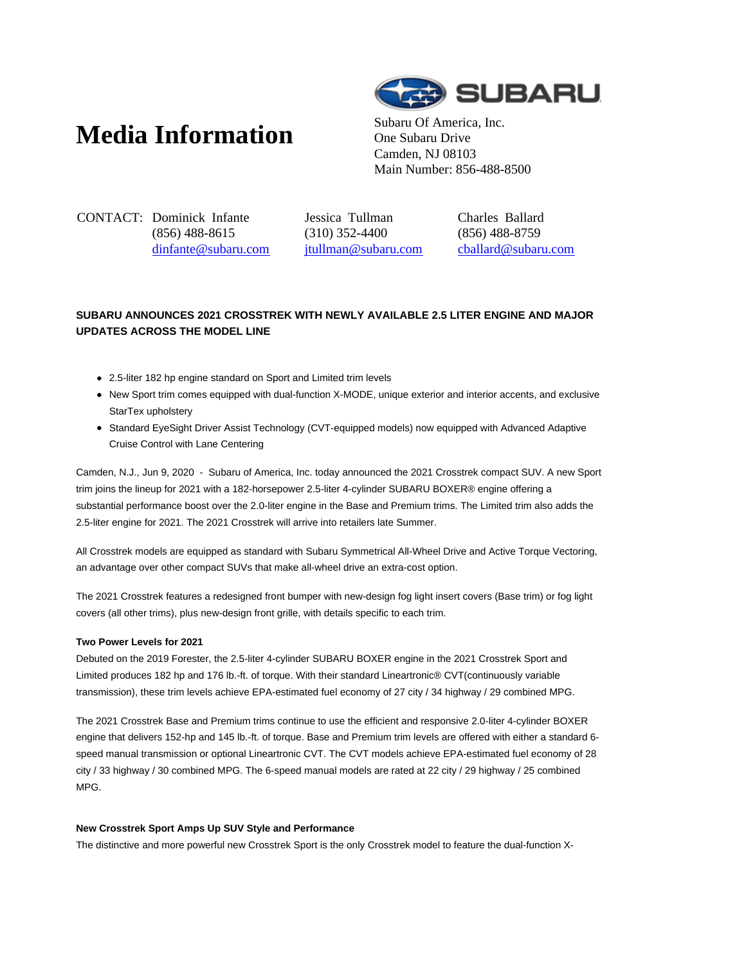# **Media Information** Subaru Of America, Inc.



One Subaru Drive Camden, NJ 08103 Main Number: 856-488-8500

CONTACT: Dominick Infante (856) 488-8615 dinfante@subaru.com Jessica Tullman (310) 352-4400 jtullman@subaru.com Charles Ballard (856) 488-8759 cballard@subaru.com

# **SUBARU ANNOUNCES 2021 CROSSTREK WITH NEWLY AVAILABLE 2.5 LITER ENGINE AND MAJOR UPDATES ACROSS THE MODEL LINE**

- 2.5-liter 182 hp engine standard on Sport and Limited trim levels
- New Sport trim comes equipped with dual-function X-MODE, unique exterior and interior accents, and exclusive StarTex upholstery
- Standard EyeSight Driver Assist Technology (CVT-equipped models) now equipped with Advanced Adaptive Cruise Control with Lane Centering

Camden, N.J., Jun 9, 2020 - Subaru of America, Inc. today announced the 2021 Crosstrek compact SUV. A new Sport trim joins the lineup for 2021 with a 182-horsepower 2.5-liter 4-cylinder SUBARU BOXER® engine offering a substantial performance boost over the 2.0-liter engine in the Base and Premium trims. The Limited trim also adds the 2.5-liter engine for 2021. The 2021 Crosstrek will arrive into retailers late Summer.

All Crosstrek models are equipped as standard with Subaru Symmetrical All-Wheel Drive and Active Torque Vectoring, an advantage over other compact SUVs that make all-wheel drive an extra-cost option.

The 2021 Crosstrek features a redesigned front bumper with new-design fog light insert covers (Base trim) or fog light covers (all other trims), plus new-design front grille, with details specific to each trim.

# **Two Power Levels for 2021**

Debuted on the 2019 Forester, the 2.5-liter 4-cylinder SUBARU BOXER engine in the 2021 Crosstrek Sport and Limited produces 182 hp and 176 lb.-ft. of torque. With their standard Lineartronic® CVT(continuously variable transmission), these trim levels achieve EPA-estimated fuel economy of 27 city / 34 highway / 29 combined MPG.

The 2021 Crosstrek Base and Premium trims continue to use the efficient and responsive 2.0-liter 4-cylinder BOXER engine that delivers 152-hp and 145 lb.-ft. of torque. Base and Premium trim levels are offered with either a standard 6 speed manual transmission or optional Lineartronic CVT. The CVT models achieve EPA-estimated fuel economy of 28 city / 33 highway / 30 combined MPG. The 6-speed manual models are rated at 22 city / 29 highway / 25 combined MPG.

# **New Crosstrek Sport Amps Up SUV Style and Performance**

The distinctive and more powerful new Crosstrek Sport is the only Crosstrek model to feature the dual-function X-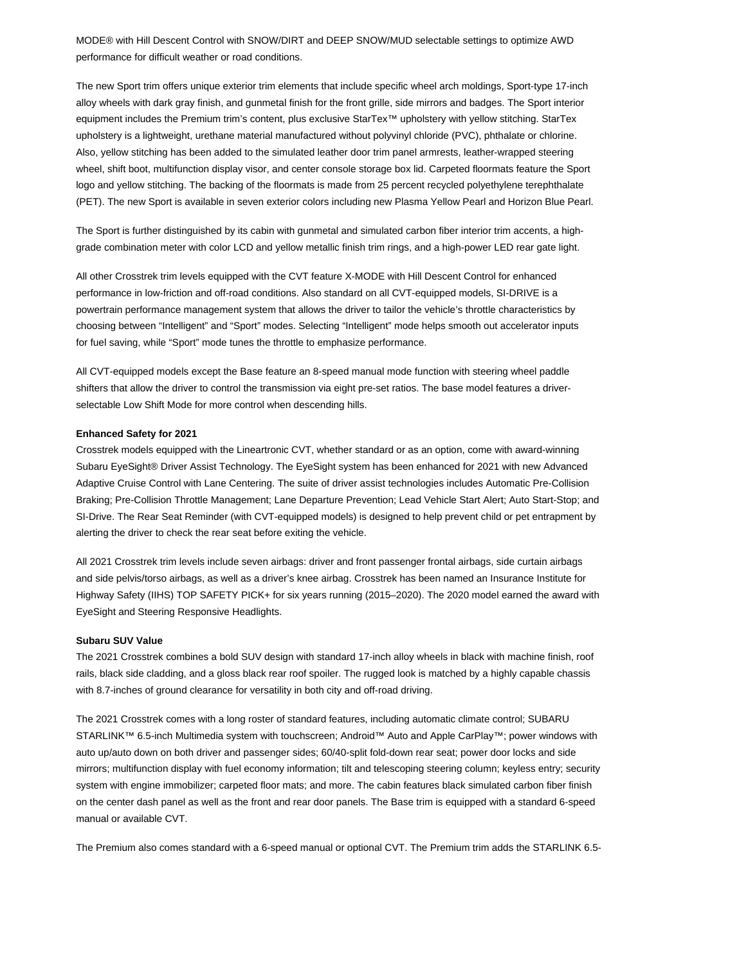MODE® with Hill Descent Control with SNOW/DIRT and DEEP SNOW/MUD selectable settings to optimize AWD performance for difficult weather or road conditions.

The new Sport trim offers unique exterior trim elements that include specific wheel arch moldings, Sport-type 17-inch alloy wheels with dark gray finish, and gunmetal finish for the front grille, side mirrors and badges. The Sport interior equipment includes the Premium trim's content, plus exclusive StarTex™ upholstery with yellow stitching. StarTex upholstery is a lightweight, urethane material manufactured without polyvinyl chloride (PVC), phthalate or chlorine. Also, yellow stitching has been added to the simulated leather door trim panel armrests, leather-wrapped steering wheel, shift boot, multifunction display visor, and center console storage box lid. Carpeted floormats feature the Sport logo and yellow stitching. The backing of the floormats is made from 25 percent recycled polyethylene terephthalate (PET). The new Sport is available in seven exterior colors including new Plasma Yellow Pearl and Horizon Blue Pearl.

The Sport is further distinguished by its cabin with gunmetal and simulated carbon fiber interior trim accents, a highgrade combination meter with color LCD and yellow metallic finish trim rings, and a high-power LED rear gate light.

All other Crosstrek trim levels equipped with the CVT feature X-MODE with Hill Descent Control for enhanced performance in low-friction and off-road conditions. Also standard on all CVT-equipped models, SI-DRIVE is a powertrain performance management system that allows the driver to tailor the vehicle's throttle characteristics by choosing between "Intelligent" and "Sport" modes. Selecting "Intelligent" mode helps smooth out accelerator inputs for fuel saving, while "Sport" mode tunes the throttle to emphasize performance.

All CVT-equipped models except the Base feature an 8-speed manual mode function with steering wheel paddle shifters that allow the driver to control the transmission via eight pre-set ratios. The base model features a driverselectable Low Shift Mode for more control when descending hills.

#### **Enhanced Safety for 2021**

Crosstrek models equipped with the Lineartronic CVT, whether standard or as an option, come with award-winning Subaru EyeSight® Driver Assist Technology. The EyeSight system has been enhanced for 2021 with new Advanced Adaptive Cruise Control with Lane Centering. The suite of driver assist technologies includes Automatic Pre-Collision Braking; Pre-Collision Throttle Management; Lane Departure Prevention; Lead Vehicle Start Alert; Auto Start-Stop; and SI-Drive. The Rear Seat Reminder (with CVT-equipped models) is designed to help prevent child or pet entrapment by alerting the driver to check the rear seat before exiting the vehicle.

All 2021 Crosstrek trim levels include seven airbags: driver and front passenger frontal airbags, side curtain airbags and side pelvis/torso airbags, as well as a driver's knee airbag. Crosstrek has been named an Insurance Institute for Highway Safety (IIHS) TOP SAFETY PICK+ for six years running (2015–2020). The 2020 model earned the award with EyeSight and Steering Responsive Headlights.

#### **Subaru SUV Value**

The 2021 Crosstrek combines a bold SUV design with standard 17-inch alloy wheels in black with machine finish, roof rails, black side cladding, and a gloss black rear roof spoiler. The rugged look is matched by a highly capable chassis with 8.7-inches of ground clearance for versatility in both city and off-road driving.

The 2021 Crosstrek comes with a long roster of standard features, including automatic climate control; SUBARU STARLINK™ 6.5-inch Multimedia system with touchscreen; Android™ Auto and Apple CarPlay™; power windows with auto up/auto down on both driver and passenger sides; 60/40-split fold-down rear seat; power door locks and side mirrors; multifunction display with fuel economy information; tilt and telescoping steering column; keyless entry; security system with engine immobilizer; carpeted floor mats; and more. The cabin features black simulated carbon fiber finish on the center dash panel as well as the front and rear door panels. The Base trim is equipped with a standard 6-speed manual or available CVT.

The Premium also comes standard with a 6-speed manual or optional CVT. The Premium trim adds the STARLINK 6.5-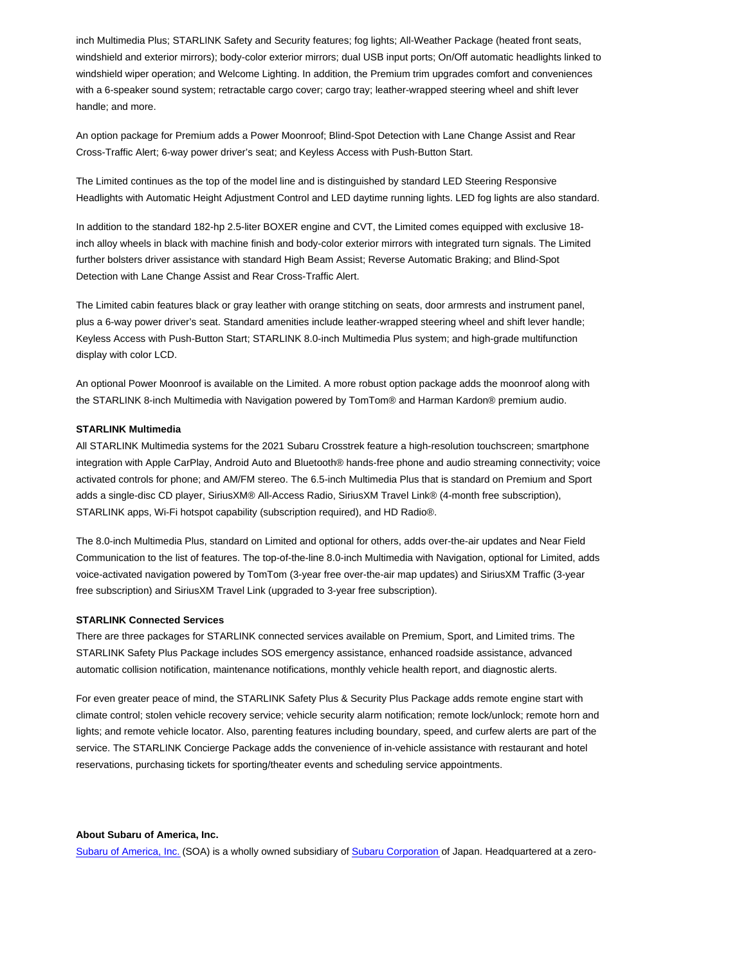inch Multimedia Plus; STARLINK Safety and Security features; fog lights; All-Weather Package (heated front seats, windshield and exterior mirrors); body-color exterior mirrors; dual USB input ports; On/Off automatic headlights linked to windshield wiper operation; and Welcome Lighting. In addition, the Premium trim upgrades comfort and conveniences with a 6-speaker sound system; retractable cargo cover; cargo tray; leather-wrapped steering wheel and shift lever handle; and more.

An option package for Premium adds a Power Moonroof; Blind-Spot Detection with Lane Change Assist and Rear Cross-Traffic Alert; 6-way power driver's seat; and Keyless Access with Push-Button Start.

The Limited continues as the top of the model line and is distinguished by standard LED Steering Responsive Headlights with Automatic Height Adjustment Control and LED daytime running lights. LED fog lights are also standard.

In addition to the standard 182-hp 2.5-liter BOXER engine and CVT, the Limited comes equipped with exclusive 18 inch alloy wheels in black with machine finish and body-color exterior mirrors with integrated turn signals. The Limited further bolsters driver assistance with standard High Beam Assist; Reverse Automatic Braking; and Blind-Spot Detection with Lane Change Assist and Rear Cross-Traffic Alert.

The Limited cabin features black or gray leather with orange stitching on seats, door armrests and instrument panel, plus a 6-way power driver's seat. Standard amenities include leather-wrapped steering wheel and shift lever handle; Keyless Access with Push-Button Start; STARLINK 8.0-inch Multimedia Plus system; and high-grade multifunction display with color LCD.

An optional Power Moonroof is available on the Limited. A more robust option package adds the moonroof along with the STARLINK 8-inch Multimedia with Navigation powered by TomTom® and Harman Kardon® premium audio.

#### **STARLINK Multimedia**

All STARLINK Multimedia systems for the 2021 Subaru Crosstrek feature a high-resolution touchscreen; smartphone integration with Apple CarPlay, Android Auto and Bluetooth® hands-free phone and audio streaming connectivity; voice activated controls for phone; and AM/FM stereo. The 6.5-inch Multimedia Plus that is standard on Premium and Sport adds a single-disc CD player, SiriusXM® All-Access Radio, SiriusXM Travel Link® (4-month free subscription), STARLINK apps, Wi-Fi hotspot capability (subscription required), and HD Radio®.

The 8.0-inch Multimedia Plus, standard on Limited and optional for others, adds over-the-air updates and Near Field Communication to the list of features. The top-of-the-line 8.0-inch Multimedia with Navigation, optional for Limited, adds voice-activated navigation powered by TomTom (3-year free over-the-air map updates) and SiriusXM Traffic (3-year free subscription) and SiriusXM Travel Link (upgraded to 3-year free subscription).

#### **STARLINK Connected Services**

There are three packages for STARLINK connected services available on Premium, Sport, and Limited trims. The STARLINK Safety Plus Package includes SOS emergency assistance, enhanced roadside assistance, advanced automatic collision notification, maintenance notifications, monthly vehicle health report, and diagnostic alerts.

For even greater peace of mind, the STARLINK Safety Plus & Security Plus Package adds remote engine start with climate control; stolen vehicle recovery service; vehicle security alarm notification; remote lock/unlock; remote horn and lights; and remote vehicle locator. Also, parenting features including boundary, speed, and curfew alerts are part of the service. The STARLINK Concierge Package adds the convenience of in-vehicle assistance with restaurant and hotel reservations, purchasing tickets for sporting/theater events and scheduling service appointments.

### **About Subaru of America, Inc.**

Subaru of America, Inc. (SOA) is a wholly owned subsidiary of Subaru Corporation of Japan. Headquartered at a zero-